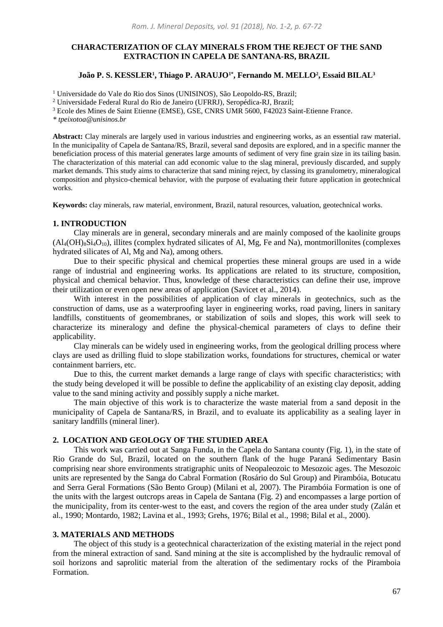# **CHARACTERIZATION OF CLAY MINERALS FROM THE REJECT OF THE SAND EXTRACTION IN CAPELA DE SANTANA-RS, BRAZIL**

### **João P. S. KESSLER<sup>1</sup> , Thiago P. ARAUJO1\* , Fernando M. MELLO<sup>2</sup> , Essaid BILAL<sup>3</sup>**

<sup>1</sup> Universidade do Vale do Rio dos Sinos (UNISINOS), São Leopoldo-RS, Brazil;

<sup>2</sup> Universidade Federal Rural do Rio de Janeiro (UFRRJ), Seropédica-RJ, Brazil;

<sup>3</sup> Ecole des Mines de Saint Etienne (EMSE), GSE, CNRS UMR 5600, F42023 Saint-Etienne France.

*\* tpeixotoa@unisinos.br*

**Abstract:** Clay minerals are largely used in various industries and engineering works, as an essential raw material. In the municipality of Capela de Santana/RS, Brazil, several sand deposits are explored, and in a specific manner the beneficiation process of this material generates large amounts of sediment of very fine grain size in its tailing basin. The characterization of this material can add economic value to the slag mineral, previously discarded, and supply market demands. This study aims to characterize that sand mining reject, by classing its granulometry, mineralogical composition and physico-chemical behavior, with the purpose of evaluating their future application in geotechnical works.

**Keywords:** clay minerals, raw material, environment, Brazil, natural resources, valuation, geotechnical works.

#### **1. INTRODUCTION**

Clay minerals are in general, secondary minerals and are mainly composed of the kaolinite groups  $(Al_4OH)_8Si_4O_{10}$ ), illites (complex hydrated silicates of Al, Mg, Fe and Na), montmorillonites (complexes hydrated silicates of Al, Mg and Na), among others.

Due to their specific physical and chemical properties these mineral groups are used in a wide range of industrial and engineering works. Its applications are related to its structure, composition, physical and chemical behavior. Thus, knowledge of these characteristics can define their use, improve their utilization or even open new areas of application (Savicet et al., 2014).

With interest in the possibilities of application of clay minerals in geotechnics, such as the construction of dams, use as a waterproofing layer in engineering works, road paving, liners in sanitary landfills, constituents of geomembranes, or stabilization of soils and slopes, this work will seek to characterize its mineralogy and define the physical-chemical parameters of clays to define their applicability.

Clay minerals can be widely used in engineering works, from the geological drilling process where clays are used as drilling fluid to slope stabilization works, foundations for structures, chemical or water containment barriers, etc.

Due to this, the current market demands a large range of clays with specific characteristics; with the study being developed it will be possible to define the applicability of an existing clay deposit, adding value to the sand mining activity and possibly supply a niche market.

The main objective of this work is to characterize the waste material from a sand deposit in the municipality of Capela de Santana/RS, in Brazil, and to evaluate its applicability as a sealing layer in sanitary landfills (mineral liner).

## **2. LOCATION AND GEOLOGY OF THE STUDIED AREA**

This work was carried out at Sanga Funda, in the Capela do Santana county (Fig. 1), in the state of Rio Grande do Sul, Brazil, located on the southern flank of the huge Paraná Sedimentary Basin comprising near shore environments stratigraphic units of Neopaleozoic to Mesozoic ages. The Mesozoic units are represented by the Sanga do Cabral Formation (Rosário do Sul Group) and Pirambóia, Botucatu and Serra Geral Formations (São Bento Group) (Milani et al, 2007). The Pirambóia Formation is one of the units with the largest outcrops areas in Capela de Santana (Fig. 2) and encompasses a large portion of the municipality, from its center-west to the east, and covers the region of the area under study (Zalán et al., 1990; Montardo, 1982; Lavina et al., 1993; Grehs, 1976; Bilal et al., 1998; Bilal et al., 2000).

# **3. MATERIALS AND METHODS**

The object of this study is a geotechnical characterization of the existing material in the reject pond from the mineral extraction of sand. Sand mining at the site is accomplished by the hydraulic removal of soil horizons and saprolitic material from the alteration of the sedimentary rocks of the Piramboia Formation.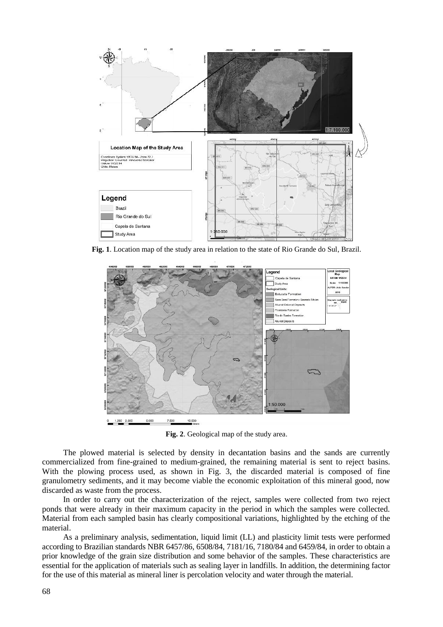

**Fig. 1**. Location map of the study area in relation to the state of Rio Grande do Sul, Brazil.



**Fig. 2**. Geological map of the study area.

The plowed material is selected by density in decantation basins and the sands are currently commercialized from fine-grained to medium-grained, the remaining material is sent to reject basins. With the plowing process used, as shown in Fig. 3, the discarded material is composed of fine granulometry sediments, and it may become viable the economic exploitation of this mineral good, now discarded as waste from the process.

In order to carry out the characterization of the reject, samples were collected from two reject ponds that were already in their maximum capacity in the period in which the samples were collected. Material from each sampled basin has clearly compositional variations, highlighted by the etching of the material.

As a preliminary analysis, sedimentation, liquid limit (LL) and plasticity limit tests were performed according to Brazilian standards NBR 6457/86, 6508/84, 7181/16, 7180/84 and 6459/84, in order to obtain a prior knowledge of the grain size distribution and some behavior of the samples. These characteristics are essential for the application of materials such as sealing layer in landfills. In addition, the determining factor for the use of this material as mineral liner is percolation velocity and water through the material.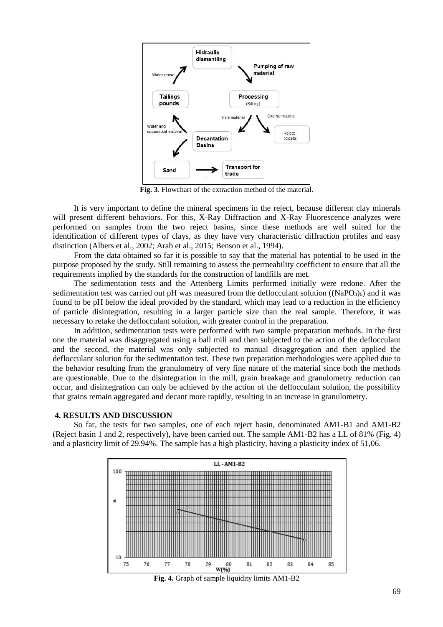

**Fig. 3**. Flowchart of the extraction method of the material.

It is very important to define the mineral specimens in the reject, because different clay minerals will present different behaviors. For this, X-Ray Diffraction and X-Ray Fluorescence analyzes were performed on samples from the two reject basins, since these methods are well suited for the identification of different types of clays, as they have very characteristic diffraction profiles and easy distinction (Albers et al., 2002; Arab et al., 2015; Benson et al., 1994).

From the data obtained so far it is possible to say that the material has potential to be used in the purpose proposed by the study. Still remaining to assess the permeability coefficient to ensure that all the requirements implied by the standards for the construction of landfills are met.

The sedimentation tests and the Attenberg Limits performed initially were redone. After the sedimentation test was carried out pH was measured from the deflocculant solution  $((NaPO<sub>3</sub>)<sub>6</sub>)$  and it was found to be pH below the ideal provided by the standard, which may lead to a reduction in the efficiency of particle disintegration, resulting in a larger particle size than the real sample. Therefore, it was necessary to retake the deflocculant solution, with greater control in the preparation.

In addition, sedimentation tests were performed with two sample preparation methods. In the first one the material was disaggregated using a ball mill and then subjected to the action of the deflocculant and the second, the material was only subjected to manual disaggregation and then applied the deflocculant solution for the sedimentation test. These two preparation methodologies were applied due to the behavior resulting from the granulometry of very fine nature of the material since both the methods are questionable. Due to the disintegration in the mill, grain breakage and granulometry reduction can occur, and disintegration can only be achieved by the action of the deflocculant solution, the possibility that grains remain aggregated and decant more rapidly, resulting in an increase in granulometry.

### **4. RESULTS AND DISCUSSION**

So far, the tests for two samples, one of each reject basin, denominated AM1-B1 and AM1-B2 (Reject basin 1 and 2, respectively), have been carried out. The sample AM1-B2 has a LL of 81% (Fig. 4) and a plasticity limit of 29.94%. The sample has a high plasticity, having a plasticity index of 51,06.



**Fig. 4.** Graph of sample liquidity limits AM1-B2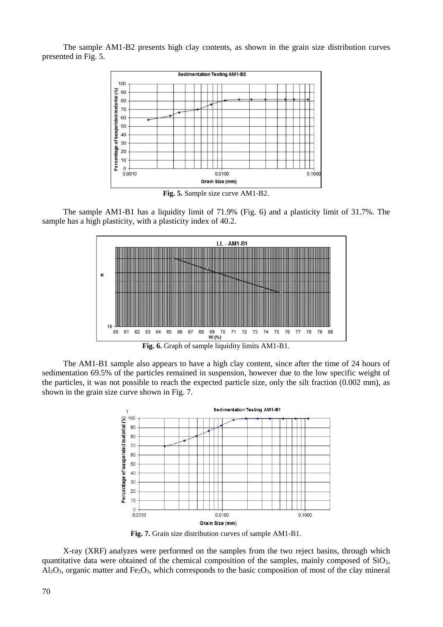The sample AM1-B2 presents high clay contents, as shown in the grain size distribution curves presented in Fig. 5.



**Fig. 5.** Sample size curve AM1-B2.

The sample AM1-B1 has a liquidity limit of 71.9% (Fig. 6) and a plasticity limit of 31.7%. The sample has a high plasticity, with a plasticity index of 40.2.



The AM1-B1 sample also appears to have a high clay content, since after the time of 24 hours of sedimentation 69.5% of the particles remained in suspension, however due to the low specific weight of the particles, it was not possible to reach the expected particle size, only the silt fraction (0.002 mm), as shown in the grain size curve shown in Fig. 7.



**Fig. 7.** Grain size distribution curves of sample AM1-B1.

X-ray (XRF) analyzes were performed on the samples from the two reject basins, through which quantitative data were obtained of the chemical composition of the samples, mainly composed of  $SiO<sub>2</sub>$ ,  $A_1O_3$ , organic matter and Fe<sub>2</sub>O<sub>3</sub>, which corresponds to the basic composition of most of the clay mineral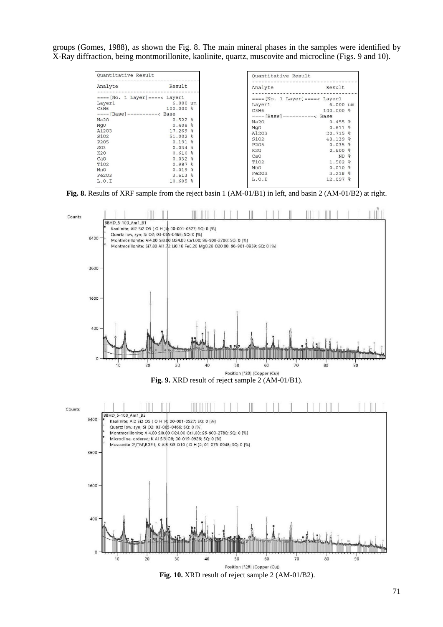groups (Gomes, 1988), as shown the Fig. 8. The main mineral phases in the samples were identified by X-Ray diffraction, being montmorillonite, kaolinite, quartz, muscovite and microcline (Figs. 9 and 10).

| Quantitative Result                                                                                                                                                                                                                             |                                                                                                                                                                                            | Quantitative Result                                                                                                                                       |                                                                                                                                                                                                    |
|-------------------------------------------------------------------------------------------------------------------------------------------------------------------------------------------------------------------------------------------------|--------------------------------------------------------------------------------------------------------------------------------------------------------------------------------------------|-----------------------------------------------------------------------------------------------------------------------------------------------------------|----------------------------------------------------------------------------------------------------------------------------------------------------------------------------------------------------|
| Analyte                                                                                                                                                                                                                                         | Result                                                                                                                                                                                     | Analyte                                                                                                                                                   | Result                                                                                                                                                                                             |
| $===[No. 1 Layer] ==  =$ Layer]<br>Layer1<br>C3H6<br>$===[Base]=------$ Basel<br>Na2O<br><b>MqO</b><br>A1203<br>SiO <sub>2</sub><br>P <sub>205</sub><br>SO <sub>3</sub><br>K <sub>2</sub> O<br>CaO<br>TiO <sub>2</sub><br>MnO<br>Fe203<br>L.O.I | $6.000$ um<br>$100.000$ %<br>$0.522$ %<br>$0.408$ %<br>$17.269$ %<br>51.002 %<br>$0.191$ $%$<br>$0.034$ %<br>$0.610$ %<br>$0.032$ %<br>$0.987$ %<br>$0.019$ %<br>$3.513$ $%$<br>$10.605$ % | Layer1<br>C3H6<br>$===[Base]=------$ Basel<br>Na20<br>MgO<br>A1203<br>SiO <sub>2</sub><br>P205<br>K2O<br>CaO<br>TiO <sub>2</sub><br>MnO<br>Fe203<br>L.0.1 | $===[No. 1 Layer] ==  = Layer$<br>$6.000$ um<br>100.000 %<br>$0.455$ %<br>$0.611$ %<br>$20.715$ %<br>48.139 %<br>$0.035$ %<br>$0.600$ %<br>$ND$ %<br>1.582 %<br>$0.010$ %<br>$3.218$ %<br>12.097 % |

**Fig. 8.** Results of XRF sample from the reject basin 1 (AM-01/B1) in left, and basin 2 (AM-01/B2) at right.



**Fig. 10.** XRD result of reject sample 2 (AM-01/B2).